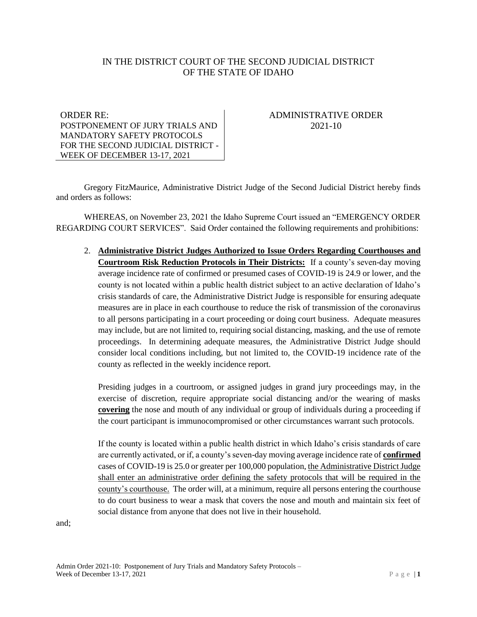# IN THE DISTRICT COURT OF THE SECOND JUDICIAL DISTRICT OF THE STATE OF IDAHO

#### ORDER RE: POSTPONEMENT OF JURY TRIALS AND MANDATORY SAFETY PROTOCOLS FOR THE SECOND JUDICIAL DISTRICT - WEEK OF DECEMBER 13-17, 2021

# ADMINISTRATIVE ORDER 2021-10

Gregory FitzMaurice, Administrative District Judge of the Second Judicial District hereby finds and orders as follows:

WHEREAS, on November 23, 2021 the Idaho Supreme Court issued an "EMERGENCY ORDER REGARDING COURT SERVICES". Said Order contained the following requirements and prohibitions:

2. **Administrative District Judges Authorized to Issue Orders Regarding Courthouses and Courtroom Risk Reduction Protocols in Their Districts:** If a county's seven-day moving average incidence rate of confirmed or presumed cases of COVID-19 is 24.9 or lower, and the county is not located within a public health district subject to an active declaration of Idaho's crisis standards of care, the Administrative District Judge is responsible for ensuring adequate measures are in place in each courthouse to reduce the risk of transmission of the coronavirus to all persons participating in a court proceeding or doing court business. Adequate measures may include, but are not limited to, requiring social distancing, masking, and the use of remote proceedings. In determining adequate measures, the Administrative District Judge should consider local conditions including, but not limited to, the COVID-19 incidence rate of the county as reflected in the weekly incidence report.

Presiding judges in a courtroom, or assigned judges in grand jury proceedings may, in the exercise of discretion, require appropriate social distancing and/or the wearing of masks **covering** the nose and mouth of any individual or group of individuals during a proceeding if the court participant is immunocompromised or other circumstances warrant such protocols.

If the county is located within a public health district in which Idaho's crisis standards of care are currently activated, or if, a county's seven-day moving average incidence rate of **confirmed** cases of COVID-19 is 25.0 or greater per 100,000 population, the Administrative District Judge shall enter an administrative order defining the safety protocols that will be required in the county's courthouse. The order will, at a minimum, require all persons entering the courthouse to do court business to wear a mask that covers the nose and mouth and maintain six feet of social distance from anyone that does not live in their household.

and;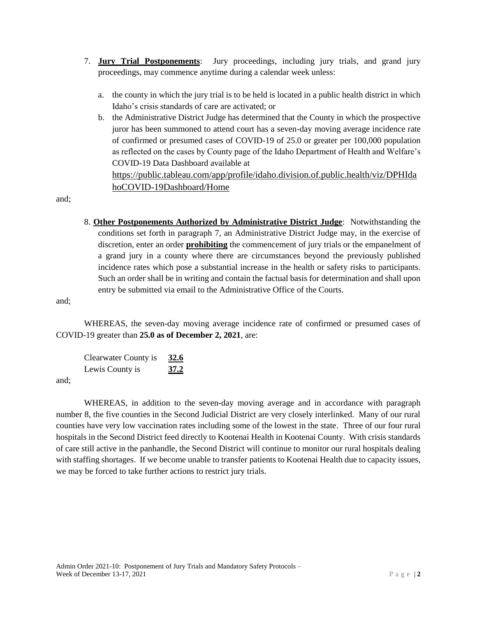- 7. **Jury Trial Postponements**: Jury proceedings, including jury trials, and grand jury proceedings, may commence anytime during a calendar week unless:
	- a. the county in which the jury trial is to be held is located in a public health district in which Idaho's crisis standards of care are activated; or
	- b. the Administrative District Judge has determined that the County in which the prospective juror has been summoned to attend court has a seven-day moving average incidence rate of confirmed or presumed cases of COVID-19 of 25.0 or greater per 100,000 population as reflected on the cases by County page of the Idaho Department of Health and Welfare's COVID-19 Data Dashboard available at [https://public.tableau.com/app/profile/idaho.division.of.public.health/viz/DPHIda](https://public.tableau.com/app/profile/idaho.division.of.public.health/viz/DPHIdahoCOVID-19Dashboard/Home)

[hoCOVID-19Dashboard/Home](https://public.tableau.com/app/profile/idaho.division.of.public.health/viz/DPHIdahoCOVID-19Dashboard/Home)

and;

8. **Other Postponements Authorized by Administrative District Judge**: Notwithstanding the conditions set forth in paragraph 7, an Administrative District Judge may, in the exercise of discretion, enter an order **prohibiting** the commencement of jury trials or the empanelment of a grand jury in a county where there are circumstances beyond the previously published incidence rates which pose a substantial increase in the health or safety risks to participants. Such an order shall be in writing and contain the factual basis for determination and shall upon entry be submitted via email to the Administrative Office of the Courts.

and;

WHEREAS, the seven-day moving average incidence rate of confirmed or presumed cases of COVID-19 greater than **25.0 as of December 2, 2021**, are:

Clearwater County is **32.6** Lewis County is **37.2**

and;

WHEREAS, in addition to the seven-day moving average and in accordance with paragraph number 8, the five counties in the Second Judicial District are very closely interlinked. Many of our rural counties have very low vaccination rates including some of the lowest in the state. Three of our four rural hospitals in the Second District feed directly to Kootenai Health in Kootenai County. With crisis standards of care still active in the panhandle, the Second District will continue to monitor our rural hospitals dealing with staffing shortages. If we become unable to transfer patients to Kootenai Health due to capacity issues, we may be forced to take further actions to restrict jury trials.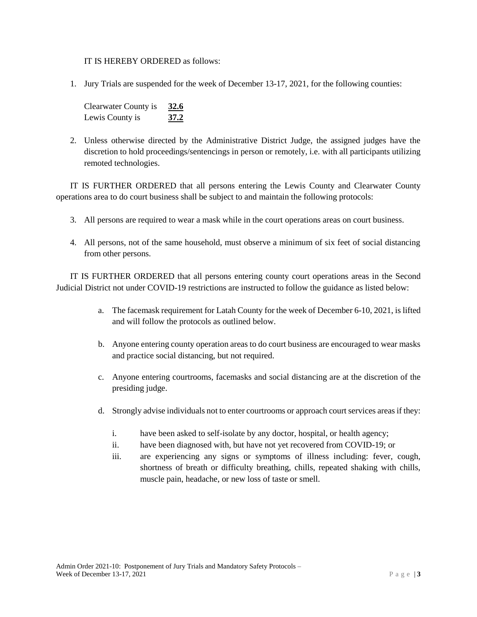#### IT IS HEREBY ORDERED as follows:

1. Jury Trials are suspended for the week of December 13-17, 2021, for the following counties:

| Clearwater County is | 32.6 |
|----------------------|------|
| Lewis County is      | 37.2 |

2. Unless otherwise directed by the Administrative District Judge, the assigned judges have the discretion to hold proceedings/sentencings in person or remotely, i.e. with all participants utilizing remoted technologies.

IT IS FURTHER ORDERED that all persons entering the Lewis County and Clearwater County operations area to do court business shall be subject to and maintain the following protocols:

- 3. All persons are required to wear a mask while in the court operations areas on court business.
- 4. All persons, not of the same household, must observe a minimum of six feet of social distancing from other persons.

IT IS FURTHER ORDERED that all persons entering county court operations areas in the Second Judicial District not under COVID-19 restrictions are instructed to follow the guidance as listed below:

- a. The facemask requirement for Latah County for the week of December 6-10, 2021, is lifted and will follow the protocols as outlined below.
- b. Anyone entering county operation areas to do court business are encouraged to wear masks and practice social distancing, but not required.
- c. Anyone entering courtrooms, facemasks and social distancing are at the discretion of the presiding judge.
- d. Strongly advise individuals not to enter courtrooms or approach court services areas if they:
	- i. have been asked to self-isolate by any doctor, hospital, or health agency;
	- ii. have been diagnosed with, but have not yet recovered from COVID-19; or
	- iii. are experiencing any signs or symptoms of illness including: fever, cough, shortness of breath or difficulty breathing, chills, repeated shaking with chills, muscle pain, headache, or new loss of taste or smell.